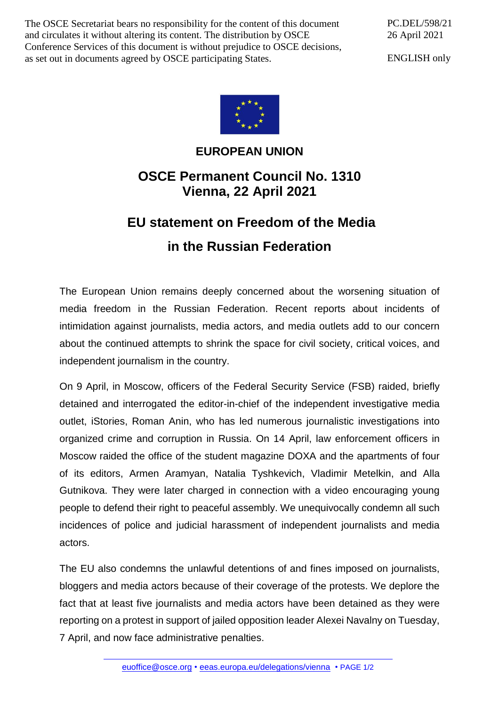The OSCE Secretariat bears no responsibility for the content of this document and circulates it without altering its content. The distribution by OSCE Conference Services of this document is without prejudice to OSCE decisions, as set out in documents agreed by OSCE participating States.

PC.DEL/598/21 26 April 2021

ENGLISH only



## **EUROPEAN UNION**

## **OSCE Permanent Council No. 1310 Vienna, 22 April 2021**

## **EU statement on Freedom of the Media in the Russian Federation**

The European Union remains deeply concerned about the worsening situation of media freedom in the Russian Federation. Recent reports about incidents of intimidation against journalists, media actors, and media outlets add to our concern about the continued attempts to shrink the space for civil society, critical voices, and independent journalism in the country.

On 9 April, in Moscow, officers of the Federal Security Service (FSB) raided, briefly detained and interrogated the editor-in-chief of the independent investigative media outlet, iStories, Roman Anin, who has led numerous journalistic investigations into organized crime and corruption in Russia. On 14 April, law enforcement officers in Moscow raided the office of the student magazine DOXA and the apartments of four of its editors, Armen Aramyan, Natalia Tyshkevich, Vladimir Metelkin, and Alla Gutnikova. They were later charged in connection with a video encouraging young people to defend their right to peaceful assembly. We unequivocally condemn all such incidences of police and judicial harassment of independent journalists and media actors.

The EU also condemns the unlawful detentions of and fines imposed on journalists, bloggers and media actors because of their coverage of the protests. We deplore the fact that at least five journalists and media actors have been detained as they were reporting on a protest in support of jailed opposition leader Alexei Navalny on Tuesday, 7 April, and now face administrative penalties.